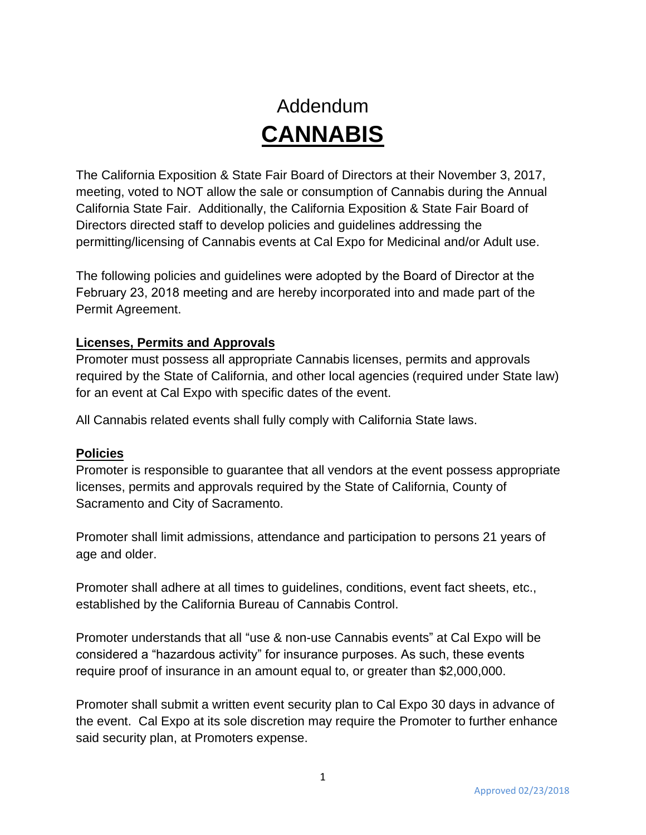## Addendum **CANNABIS**

The California Exposition & State Fair Board of Directors at their November 3, 2017, meeting, voted to NOT allow the sale or consumption of Cannabis during the Annual California State Fair. Additionally, the California Exposition & State Fair Board of Directors directed staff to develop policies and guidelines addressing the permitting/licensing of Cannabis events at Cal Expo for Medicinal and/or Adult use.

The following policies and guidelines were adopted by the Board of Director at the February 23, 2018 meeting and are hereby incorporated into and made part of the Permit Agreement.

## **Licenses, Permits and Approvals**

Promoter must possess all appropriate Cannabis licenses, permits and approvals required by the State of California, and other local agencies (required under State law) for an event at Cal Expo with specific dates of the event.

All Cannabis related events shall fully comply with California State laws.

## **Policies**

Promoter is responsible to guarantee that all vendors at the event possess appropriate licenses, permits and approvals required by the State of California, County of Sacramento and City of Sacramento.

Promoter shall limit admissions, attendance and participation to persons 21 years of age and older.

Promoter shall adhere at all times to guidelines, conditions, event fact sheets, etc., established by the California Bureau of Cannabis Control.

Promoter understands that all "use & non-use Cannabis events" at Cal Expo will be considered a "hazardous activity" for insurance purposes. As such, these events require proof of insurance in an amount equal to, or greater than \$2,000,000.

Promoter shall submit a written event security plan to Cal Expo 30 days in advance of the event. Cal Expo at its sole discretion may require the Promoter to further enhance said security plan, at Promoters expense.